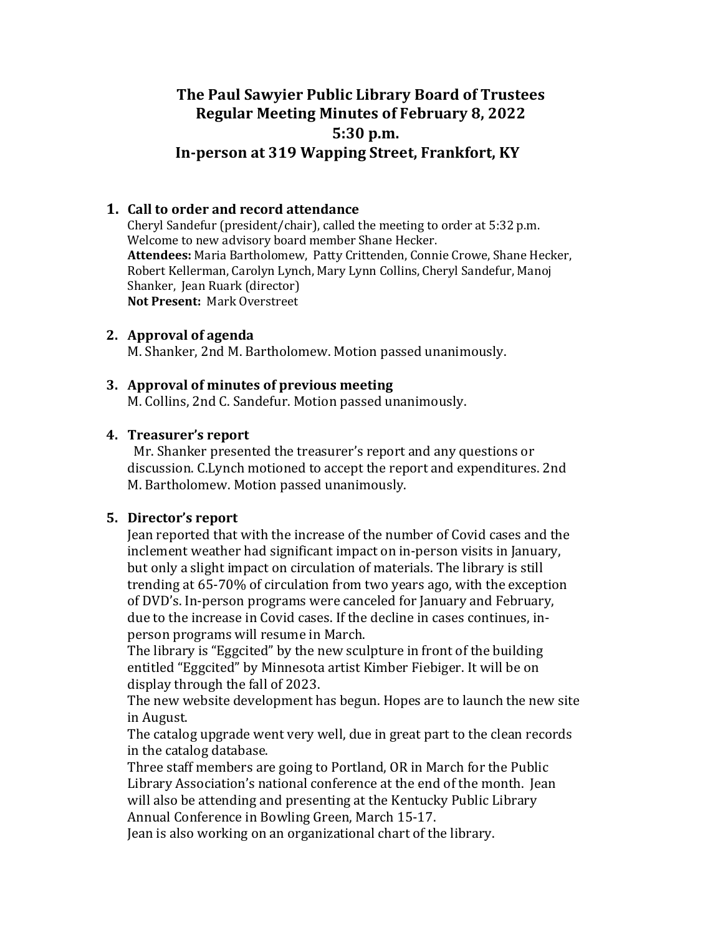# **The Paul Sawyier Public Library Board of Trustees Regular Meeting Minutes of February 8, 2022 5:30 p.m. In-person at 319 Wapping Street, Frankfort, KY**

## **1. Call to order and record attendance**

Cheryl Sandefur (president/chair), called the meeting to order at 5:32 p.m. Welcome to new advisory board member Shane Hecker. Attendees: Maria Bartholomew, Patty Crittenden, Connie Crowe, Shane Hecker, Robert Kellerman, Carolyn Lynch, Mary Lynn Collins, Cheryl Sandefur, Manoj Shanker, Jean Ruark (director) **Not Present: Mark Overstreet** 

### **2.** Approval of agenda

M. Shanker, 2nd M. Bartholomew. Motion passed unanimously.

### **3.** Approval of minutes of previous meeting

M. Collins, 2nd C. Sandefur. Motion passed unanimously.

### **4. Treasurer's report**

Mr. Shanker presented the treasurer's report and any questions or discussion. C.Lynch motioned to accept the report and expenditures. 2nd M. Bartholomew. Motion passed unanimously.

## **5.** Director's report

Jean reported that with the increase of the number of Covid cases and the inclement weather had significant impact on in-person visits in January, but only a slight impact on circulation of materials. The library is still trending at 65-70% of circulation from two years ago, with the exception of DVD's. In-person programs were canceled for January and February, due to the increase in Covid cases. If the decline in cases continues, inperson programs will resume in March.

The library is "Eggcited" by the new sculpture in front of the building entitled "Eggcited" by Minnesota artist Kimber Fiebiger. It will be on display through the fall of 2023.

The new website development has begun. Hopes are to launch the new site in August. 

The catalog upgrade went very well, due in great part to the clean records in the catalog database.

Three staff members are going to Portland, OR in March for the Public Library Association's national conference at the end of the month. Jean will also be attending and presenting at the Kentucky Public Library Annual Conference in Bowling Green, March 15-17.

Jean is also working on an organizational chart of the library.